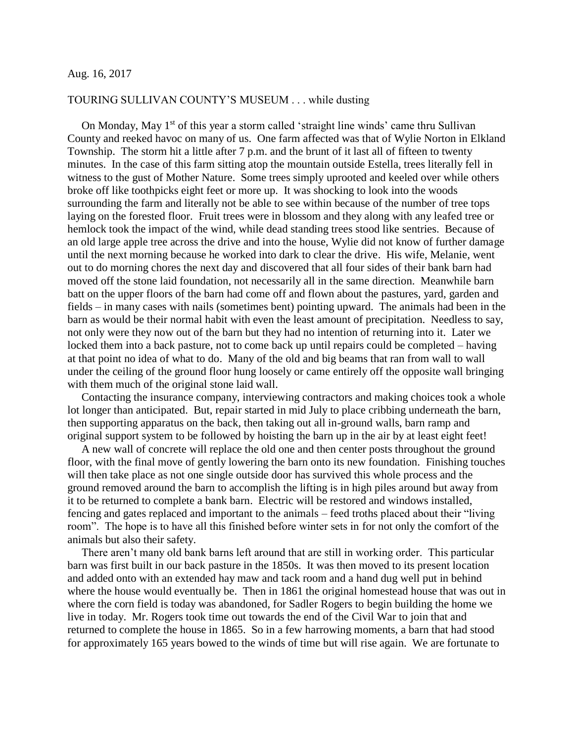## Aug. 16, 2017

## TOURING SULLIVAN COUNTY'S MUSEUM . . . while dusting

On Monday, May 1<sup>st</sup> of this year a storm called 'straight line winds' came thru Sullivan County and reeked havoc on many of us. One farm affected was that of Wylie Norton in Elkland Township. The storm hit a little after 7 p.m. and the brunt of it last all of fifteen to twenty minutes. In the case of this farm sitting atop the mountain outside Estella, trees literally fell in witness to the gust of Mother Nature. Some trees simply uprooted and keeled over while others broke off like toothpicks eight feet or more up. It was shocking to look into the woods surrounding the farm and literally not be able to see within because of the number of tree tops laying on the forested floor. Fruit trees were in blossom and they along with any leafed tree or hemlock took the impact of the wind, while dead standing trees stood like sentries. Because of an old large apple tree across the drive and into the house, Wylie did not know of further damage until the next morning because he worked into dark to clear the drive. His wife, Melanie, went out to do morning chores the next day and discovered that all four sides of their bank barn had moved off the stone laid foundation, not necessarily all in the same direction. Meanwhile barn batt on the upper floors of the barn had come off and flown about the pastures, yard, garden and fields – in many cases with nails (sometimes bent) pointing upward. The animals had been in the barn as would be their normal habit with even the least amount of precipitation. Needless to say, not only were they now out of the barn but they had no intention of returning into it. Later we locked them into a back pasture, not to come back up until repairs could be completed – having at that point no idea of what to do. Many of the old and big beams that ran from wall to wall under the ceiling of the ground floor hung loosely or came entirely off the opposite wall bringing with them much of the original stone laid wall.

 Contacting the insurance company, interviewing contractors and making choices took a whole lot longer than anticipated. But, repair started in mid July to place cribbing underneath the barn, then supporting apparatus on the back, then taking out all in-ground walls, barn ramp and original support system to be followed by hoisting the barn up in the air by at least eight feet!

 A new wall of concrete will replace the old one and then center posts throughout the ground floor, with the final move of gently lowering the barn onto its new foundation. Finishing touches will then take place as not one single outside door has survived this whole process and the ground removed around the barn to accomplish the lifting is in high piles around but away from it to be returned to complete a bank barn. Electric will be restored and windows installed, fencing and gates replaced and important to the animals – feed troths placed about their "living room". The hope is to have all this finished before winter sets in for not only the comfort of the animals but also their safety.

 There aren't many old bank barns left around that are still in working order. This particular barn was first built in our back pasture in the 1850s. It was then moved to its present location and added onto with an extended hay maw and tack room and a hand dug well put in behind where the house would eventually be. Then in 1861 the original homestead house that was out in where the corn field is today was abandoned, for Sadler Rogers to begin building the home we live in today. Mr. Rogers took time out towards the end of the Civil War to join that and returned to complete the house in 1865. So in a few harrowing moments, a barn that had stood for approximately 165 years bowed to the winds of time but will rise again. We are fortunate to